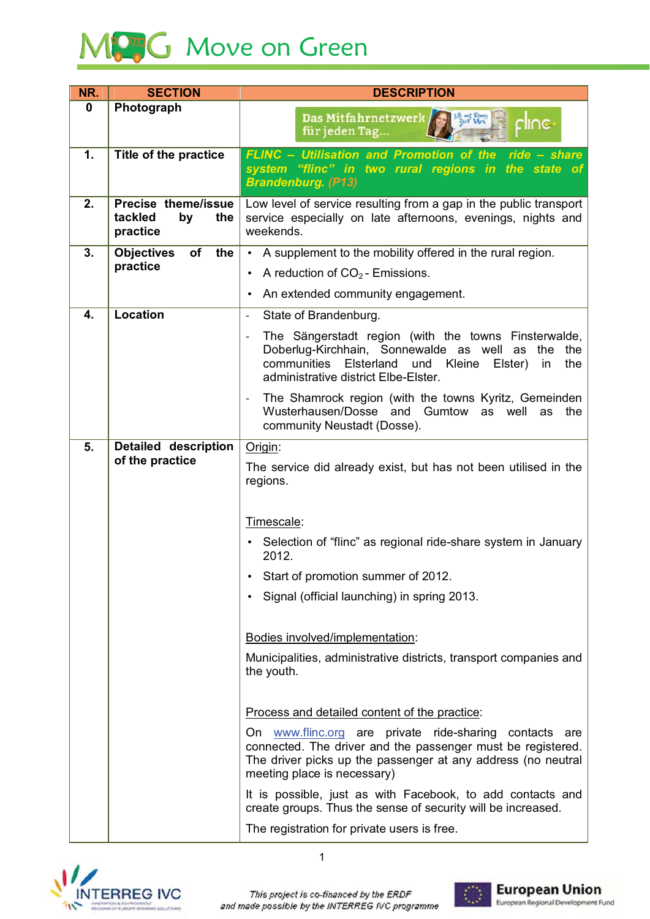

| NR.         | <b>SECTION</b>                                          | <b>DESCRIPTION</b>                                                                                                                                                                                                         |
|-------------|---------------------------------------------------------|----------------------------------------------------------------------------------------------------------------------------------------------------------------------------------------------------------------------------|
| $\mathbf 0$ | Photograph                                              | 3B. mit Romy<br>3ur Uni<br>Das Mitfahrnetzwerk/<br>rlınc∙<br>für jeden Tag                                                                                                                                                 |
| 1.          | <b>Title of the practice</b>                            | <b>FLINC - Utilisation and Promotion of the</b><br>ride - share<br>system "flinc" in two rural regions in the state of<br><b>Brandenburg. (P13)</b>                                                                        |
| 2.          | Precise theme/issue<br>tackled<br>by<br>the<br>practice | Low level of service resulting from a gap in the public transport<br>service especially on late afternoons, evenings, nights and<br>weekends.                                                                              |
| 3.          | the<br><b>Objectives</b><br>of                          | A supplement to the mobility offered in the rural region.                                                                                                                                                                  |
|             | practice                                                | A reduction of $CO2$ Emissions.<br>$\bullet$                                                                                                                                                                               |
|             |                                                         | An extended community engagement.                                                                                                                                                                                          |
| 4.          | Location                                                | State of Brandenburg.                                                                                                                                                                                                      |
|             |                                                         | The Sängerstadt region (with the towns Finsterwalde,<br>Doberlug-Kirchhain, Sonnewalde as well as the<br>the<br>communities Elsterland<br>und<br>Kleine<br>Elster)<br>in<br>the<br>administrative district Elbe-Elster.    |
|             |                                                         | The Shamrock region (with the towns Kyritz, Gemeinden<br>$\qquad \qquad -$<br>Wusterhausen/Dosse and Gumtow<br>as well<br>as<br>the<br>community Neustadt (Dosse).                                                         |
| 5.          | <b>Detailed description</b><br>of the practice          | Origin:                                                                                                                                                                                                                    |
|             |                                                         | The service did already exist, but has not been utilised in the<br>regions.                                                                                                                                                |
|             |                                                         | Timescale:                                                                                                                                                                                                                 |
|             |                                                         | Selection of "flinc" as regional ride-share system in January<br>2012.                                                                                                                                                     |
|             |                                                         | Start of promotion summer of 2012.                                                                                                                                                                                         |
|             |                                                         | Signal (official launching) in spring 2013.                                                                                                                                                                                |
|             |                                                         | Bodies involved/implementation:                                                                                                                                                                                            |
|             |                                                         | Municipalities, administrative districts, transport companies and<br>the youth.                                                                                                                                            |
|             |                                                         | Process and detailed content of the practice:                                                                                                                                                                              |
|             |                                                         | On www.flinc.org are private ride-sharing<br>contacts<br>are<br>connected. The driver and the passenger must be registered.<br>The driver picks up the passenger at any address (no neutral<br>meeting place is necessary) |
|             |                                                         | It is possible, just as with Facebook, to add contacts and<br>create groups. Thus the sense of security will be increased.                                                                                                 |
|             |                                                         | The registration for private users is free.                                                                                                                                                                                |



This project is co-financed by the ERDF and made possible by the INTERREG IVC programme

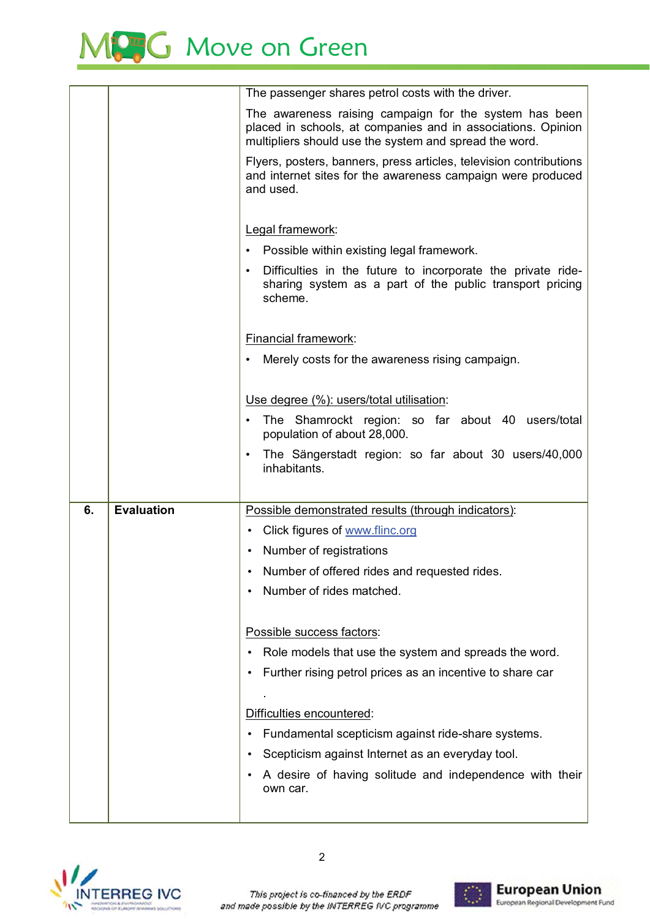## MC<sub>3</sub>G Move on Green

|    |                   | The passenger shares petrol costs with the driver.                                                                                                                               |
|----|-------------------|----------------------------------------------------------------------------------------------------------------------------------------------------------------------------------|
|    |                   | The awareness raising campaign for the system has been<br>placed in schools, at companies and in associations. Opinion<br>multipliers should use the system and spread the word. |
|    |                   | Flyers, posters, banners, press articles, television contributions<br>and internet sites for the awareness campaign were produced<br>and used.                                   |
|    |                   | Legal framework:                                                                                                                                                                 |
|    |                   | Possible within existing legal framework.                                                                                                                                        |
|    |                   | Difficulties in the future to incorporate the private ride-<br>$\bullet$<br>sharing system as a part of the public transport pricing<br>scheme.                                  |
|    |                   | Financial framework:                                                                                                                                                             |
|    |                   | Merely costs for the awareness rising campaign.<br>٠                                                                                                                             |
|    |                   |                                                                                                                                                                                  |
|    |                   | Use degree (%): users/total utilisation:                                                                                                                                         |
|    |                   | The Shamrockt region: so far about 40 users/total<br>$\bullet$<br>population of about 28,000.                                                                                    |
|    |                   | The Sängerstadt region: so far about 30 users/40,000<br>$\bullet$                                                                                                                |
|    |                   | inhabitants.                                                                                                                                                                     |
|    |                   |                                                                                                                                                                                  |
| 6. | <b>Evaluation</b> | Possible demonstrated results (through indicators):                                                                                                                              |
|    |                   | Click figures of www.flinc.org                                                                                                                                                   |
|    |                   | Number of registrations                                                                                                                                                          |
|    |                   | • Number of offered rides and requested rides.<br>Number of rides matched.                                                                                                       |
|    |                   |                                                                                                                                                                                  |
|    |                   | Possible success factors:                                                                                                                                                        |
|    |                   | Role models that use the system and spreads the word.                                                                                                                            |
|    |                   | Further rising petrol prices as an incentive to share car                                                                                                                        |
|    |                   |                                                                                                                                                                                  |
|    |                   | Difficulties encountered:                                                                                                                                                        |
|    |                   | Fundamental scepticism against ride-share systems.                                                                                                                               |
|    |                   | Scepticism against Internet as an everyday tool.                                                                                                                                 |
|    |                   | A desire of having solitude and independence with their<br>own car.                                                                                                              |